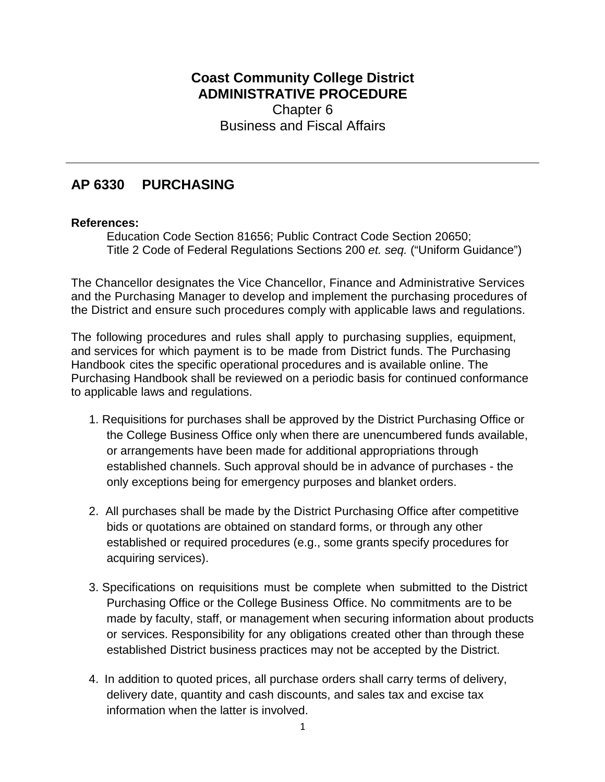## **Coast Community College District ADMINISTRATIVE PROCEDURE**  Chapter 6 Business and Fiscal Affairs

## **AP 6330 PURCHASING**

## **References:**

Education Code Section 81656; Public Contract Code Section 20650; Title 2 Code of Federal Regulations Sections 200 *et. seq.* ("Uniform Guidance")

The Chancellor designates the Vice Chancellor, Finance and Administrative Services and the Purchasing Manager to develop and implement the purchasing procedures of the District and ensure such procedures comply with applicable laws and regulations.

The following procedures and rules shall apply to purchasing supplies, equipment, and services for which payment is to be made from District funds. The Purchasing Handbook cites the specific operational procedures and is available online. The Purchasing Handbook shall be reviewed on a periodic basis for continued conformance to applicable laws and regulations.

- 1. Requisitions for purchases shall be approved by the District Purchasing Office or the College Business Office only when there are unencumbered funds available, or arrangements have been made for additional appropriations through established channels. Such approval should be in advance of purchases - the only exceptions being for emergency purposes and blanket orders.
- 2. All purchases shall be made by the District Purchasing Office after competitive bids or quotations are obtained on standard forms, or through any other established or required procedures (e.g., some grants specify procedures for acquiring services).
- 3. Specifications on requisitions must be complete when submitted to the District Purchasing Office or the College Business Office. No commitments are to be made by faculty, staff, or management when securing information about products or services. Responsibility for any obligations created other than through these established District business practices may not be accepted by the District.
- 4. In addition to quoted prices, all purchase orders shall carry terms of delivery, delivery date, quantity and cash discounts, and sales tax and excise tax information when the latter is involved.